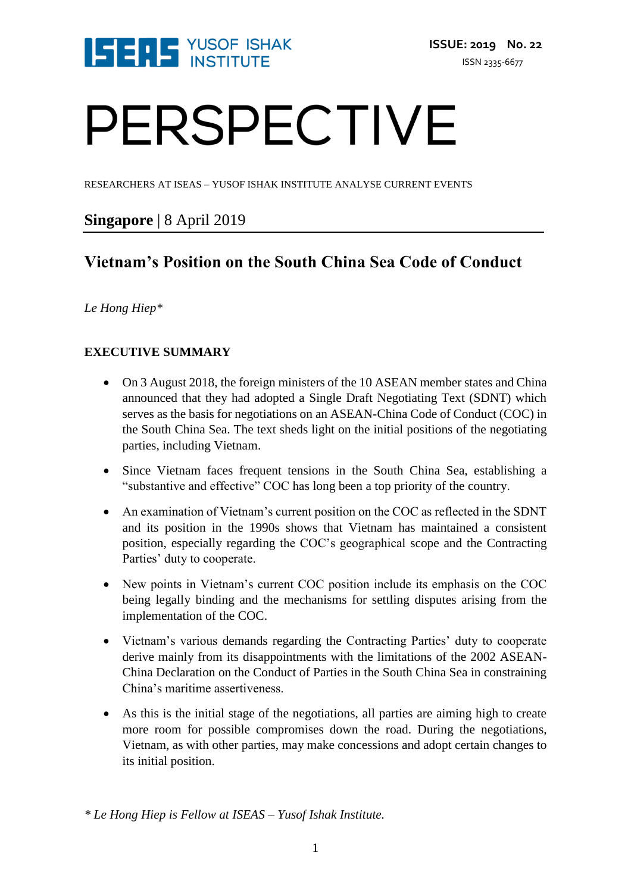

# PERSPECTIVE

RESEARCHERS AT ISEAS – YUSOF ISHAK INSTITUTE ANALYSE CURRENT EVENTS

## **Singapore** | 8 April 2019

# **Vietnam's Position on the South China Sea Code of Conduct**

## *Le Hong Hiep\**

## **EXECUTIVE SUMMARY**

- On 3 August 2018, the foreign ministers of the 10 ASEAN member states and China announced that they had adopted a Single Draft Negotiating Text (SDNT) which serves as the basis for negotiations on an ASEAN-China Code of Conduct (COC) in the South China Sea. The text sheds light on the initial positions of the negotiating parties, including Vietnam.
- Since Vietnam faces frequent tensions in the South China Sea, establishing a "substantive and effective" COC has long been a top priority of the country.
- An examination of Vietnam's current position on the COC as reflected in the SDNT and its position in the 1990s shows that Vietnam has maintained a consistent position, especially regarding the COC's geographical scope and the Contracting Parties' duty to cooperate.
- New points in Vietnam's current COC position include its emphasis on the COC being legally binding and the mechanisms for settling disputes arising from the implementation of the COC.
- Vietnam's various demands regarding the Contracting Parties' duty to cooperate derive mainly from its disappointments with the limitations of the 2002 ASEAN-China Declaration on the Conduct of Parties in the South China Sea in constraining China's maritime assertiveness.
- As this is the initial stage of the negotiations, all parties are aiming high to create more room for possible compromises down the road. During the negotiations, Vietnam, as with other parties, may make concessions and adopt certain changes to its initial position.

*\* Le Hong Hiep is Fellow at ISEAS – Yusof Ishak Institute.*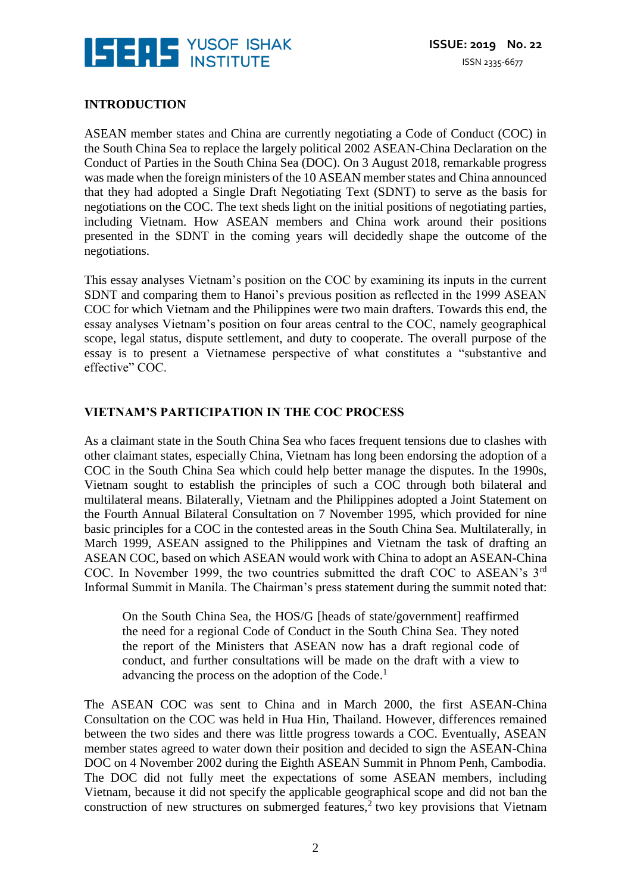

## **INTRODUCTION**

ASEAN member states and China are currently negotiating a Code of Conduct (COC) in the South China Sea to replace the largely political 2002 ASEAN-China Declaration on the Conduct of Parties in the South China Sea (DOC). On 3 August 2018, remarkable progress was made when the foreign ministers of the 10 ASEAN member states and China announced that they had adopted a Single Draft Negotiating Text (SDNT) to serve as the basis for negotiations on the COC. The text sheds light on the initial positions of negotiating parties, including Vietnam. How ASEAN members and China work around their positions presented in the SDNT in the coming years will decidedly shape the outcome of the negotiations.

This essay analyses Vietnam's position on the COC by examining its inputs in the current SDNT and comparing them to Hanoi's previous position as reflected in the 1999 ASEAN COC for which Vietnam and the Philippines were two main drafters. Towards this end, the essay analyses Vietnam's position on four areas central to the COC, namely geographical scope, legal status, dispute settlement, and duty to cooperate. The overall purpose of the essay is to present a Vietnamese perspective of what constitutes a "substantive and effective" COC.

#### **VIETNAM'S PARTICIPATION IN THE COC PROCESS**

As a claimant state in the South China Sea who faces frequent tensions due to clashes with other claimant states, especially China, Vietnam has long been endorsing the adoption of a COC in the South China Sea which could help better manage the disputes. In the 1990s, Vietnam sought to establish the principles of such a COC through both bilateral and multilateral means. Bilaterally, Vietnam and the Philippines adopted a Joint Statement on the Fourth Annual Bilateral Consultation on 7 November 1995, which provided for nine basic principles for a COC in the contested areas in the South China Sea. Multilaterally, in March 1999, ASEAN assigned to the Philippines and Vietnam the task of drafting an ASEAN COC, based on which ASEAN would work with China to adopt an ASEAN-China COC. In November 1999, the two countries submitted the draft COC to ASEAN's 3rd Informal Summit in Manila. The Chairman's press statement during the summit noted that:

On the South China Sea, the HOS/G [heads of state/government] reaffirmed the need for a regional Code of Conduct in the South China Sea. They noted the report of the Ministers that ASEAN now has a draft regional code of conduct, and further consultations will be made on the draft with a view to advancing the process on the adoption of the Code.<sup>1</sup>

The ASEAN COC was sent to China and in March 2000, the first ASEAN-China Consultation on the COC was held in Hua Hin, Thailand. However, differences remained between the two sides and there was little progress towards a COC. Eventually, ASEAN member states agreed to water down their position and decided to sign the ASEAN-China DOC on 4 November 2002 during the Eighth ASEAN Summit in Phnom Penh, Cambodia. The DOC did not fully meet the expectations of some ASEAN members, including Vietnam, because it did not specify the applicable geographical scope and did not ban the construction of new structures on submerged features,<sup>2</sup> two key provisions that Vietnam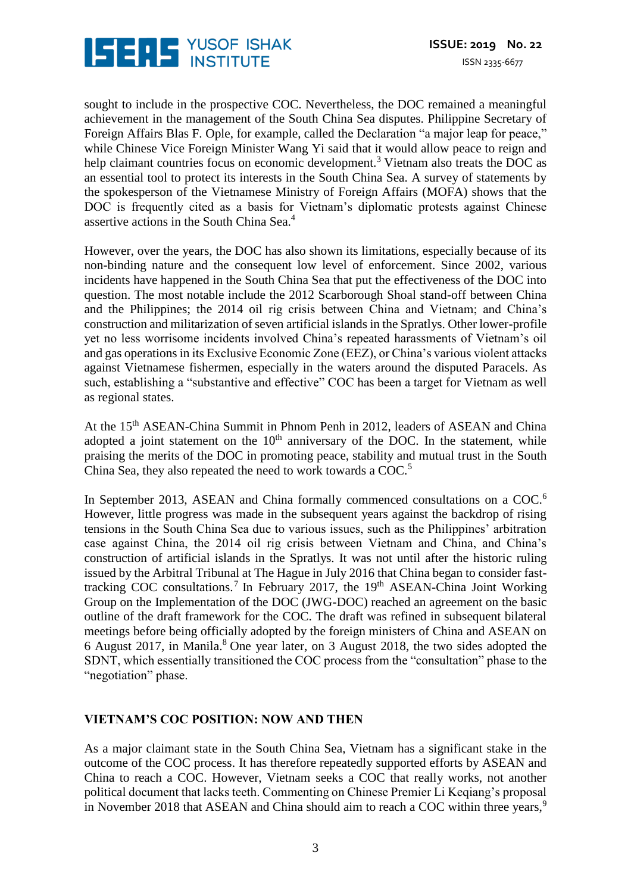

sought to include in the prospective COC. Nevertheless, the DOC remained a meaningful achievement in the management of the South China Sea disputes. Philippine Secretary of Foreign Affairs Blas F. Ople, for example, called the Declaration "a major leap for peace," while Chinese Vice Foreign Minister Wang Yi said that it would allow peace to reign and help claimant countries focus on economic development.<sup>3</sup> Vietnam also treats the DOC as an essential tool to protect its interests in the South China Sea. A survey of statements by the spokesperson of the Vietnamese Ministry of Foreign Affairs (MOFA) shows that the DOC is frequently cited as a basis for Vietnam's diplomatic protests against Chinese assertive actions in the South China Sea.<sup>4</sup>

However, over the years, the DOC has also shown its limitations, especially because of its non-binding nature and the consequent low level of enforcement. Since 2002, various incidents have happened in the South China Sea that put the effectiveness of the DOC into question. The most notable include the 2012 Scarborough Shoal stand-off between China and the Philippines; the 2014 oil rig crisis between China and Vietnam; and China's construction and militarization of seven artificial islands in the Spratlys. Other lower-profile yet no less worrisome incidents involved China's repeated harassments of Vietnam's oil and gas operations in its Exclusive Economic Zone (EEZ), or China's various violent attacks against Vietnamese fishermen, especially in the waters around the disputed Paracels. As such, establishing a "substantive and effective" COC has been a target for Vietnam as well as regional states.

At the 15th ASEAN-China Summit in Phnom Penh in 2012, leaders of ASEAN and China adopted a joint statement on the  $10<sup>th</sup>$  anniversary of the DOC. In the statement, while praising the merits of the DOC in promoting peace, stability and mutual trust in the South China Sea, they also repeated the need to work towards a COC.<sup>5</sup>

In September 2013, ASEAN and China formally commenced consultations on a COC.<sup>6</sup> However, little progress was made in the subsequent years against the backdrop of rising tensions in the South China Sea due to various issues, such as the Philippines' arbitration case against China, the 2014 oil rig crisis between Vietnam and China, and China's construction of artificial islands in the Spratlys. It was not until after the historic ruling issued by the Arbitral Tribunal at The Hague in July 2016 that China began to consider fasttracking COC consultations.<sup>7</sup> In February 2017, the 19<sup>th</sup> ASEAN-China Joint Working Group on the Implementation of the DOC (JWG-DOC) reached an agreement on the basic outline of the draft framework for the COC. The draft was refined in subsequent bilateral meetings before being officially adopted by the foreign ministers of China and ASEAN on 6 August 2017, in Manila.<sup>8</sup> One year later, on 3 August 2018, the two sides adopted the SDNT, which essentially transitioned the COC process from the "consultation" phase to the "negotiation" phase.

#### **VIETNAM'S COC POSITION: NOW AND THEN**

As a major claimant state in the South China Sea, Vietnam has a significant stake in the outcome of the COC process. It has therefore repeatedly supported efforts by ASEAN and China to reach a COC. However, Vietnam seeks a COC that really works, not another political document that lacks teeth. Commenting on Chinese Premier Li Keqiang's proposal in November 2018 that ASEAN and China should aim to reach a COC within three years,<sup>9</sup>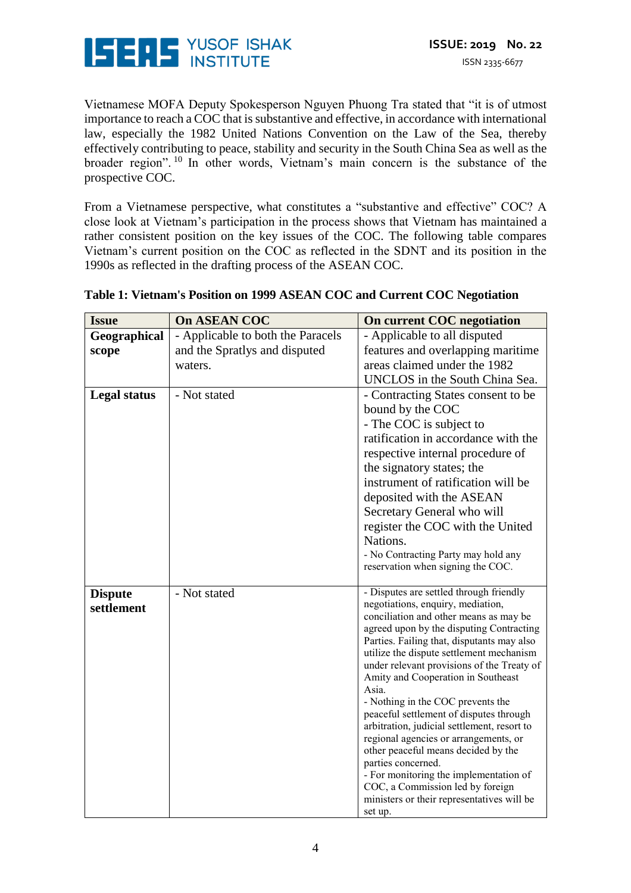

Vietnamese MOFA Deputy Spokesperson Nguyen Phuong Tra stated that "it is of utmost importance to reach a COC that is substantive and effective, in accordance with international law, especially the 1982 United Nations Convention on the Law of the Sea, thereby effectively contributing to peace, stability and security in the South China Sea as well as the broader region". <sup>10</sup> In other words, Vietnam's main concern is the substance of the prospective COC.

From a Vietnamese perspective, what constitutes a "substantive and effective" COC? A close look at Vietnam's participation in the process shows that Vietnam has maintained a rather consistent position on the key issues of the COC. The following table compares Vietnam's current position on the COC as reflected in the SDNT and its position in the 1990s as reflected in the drafting process of the ASEAN COC.

| <b>Issue</b>                 | <b>On ASEAN COC</b>               | On current COC negotiation                                                                                                                                                                                                                                                                                                                                                                                                                                                                                                                                                                                                                                                                                                            |
|------------------------------|-----------------------------------|---------------------------------------------------------------------------------------------------------------------------------------------------------------------------------------------------------------------------------------------------------------------------------------------------------------------------------------------------------------------------------------------------------------------------------------------------------------------------------------------------------------------------------------------------------------------------------------------------------------------------------------------------------------------------------------------------------------------------------------|
| Geographical                 | - Applicable to both the Paracels | - Applicable to all disputed                                                                                                                                                                                                                                                                                                                                                                                                                                                                                                                                                                                                                                                                                                          |
| scope                        | and the Spratlys and disputed     | features and overlapping maritime                                                                                                                                                                                                                                                                                                                                                                                                                                                                                                                                                                                                                                                                                                     |
|                              | waters.                           | areas claimed under the 1982                                                                                                                                                                                                                                                                                                                                                                                                                                                                                                                                                                                                                                                                                                          |
|                              |                                   | UNCLOS in the South China Sea.                                                                                                                                                                                                                                                                                                                                                                                                                                                                                                                                                                                                                                                                                                        |
| <b>Legal status</b>          | - Not stated                      | - Contracting States consent to be<br>bound by the COC<br>- The COC is subject to<br>ratification in accordance with the<br>respective internal procedure of<br>the signatory states; the<br>instrument of ratification will be<br>deposited with the ASEAN<br>Secretary General who will<br>register the COC with the United<br>Nations.<br>- No Contracting Party may hold any<br>reservation when signing the COC.                                                                                                                                                                                                                                                                                                                 |
| <b>Dispute</b><br>settlement | - Not stated                      | - Disputes are settled through friendly<br>negotiations, enquiry, mediation,<br>conciliation and other means as may be<br>agreed upon by the disputing Contracting<br>Parties. Failing that, disputants may also<br>utilize the dispute settlement mechanism<br>under relevant provisions of the Treaty of<br>Amity and Cooperation in Southeast<br>Asia.<br>- Nothing in the COC prevents the<br>peaceful settlement of disputes through<br>arbitration, judicial settlement, resort to<br>regional agencies or arrangements, or<br>other peaceful means decided by the<br>parties concerned.<br>- For monitoring the implementation of<br>COC, a Commission led by foreign<br>ministers or their representatives will be<br>set up. |

#### **Table 1: Vietnam's Position on 1999 ASEAN COC and Current COC Negotiation**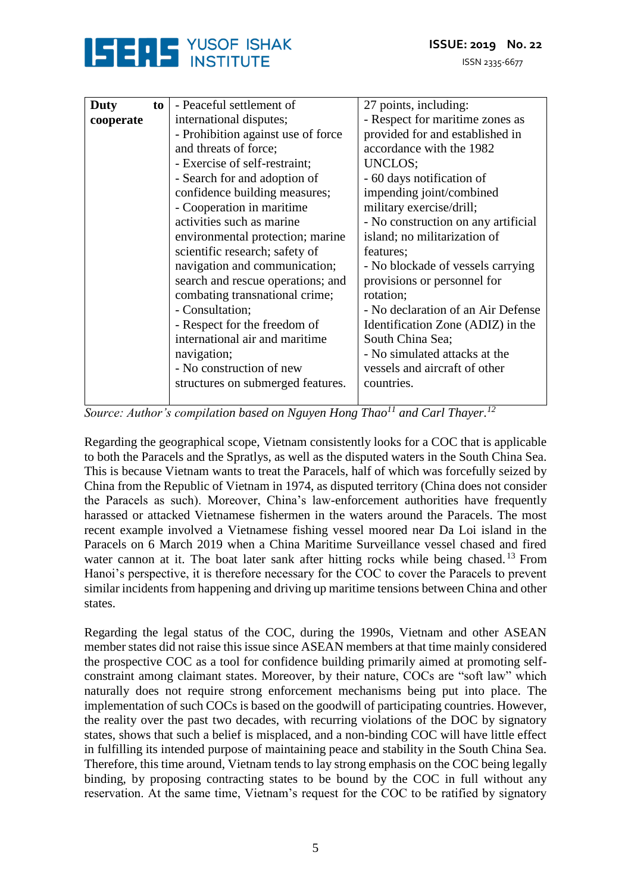



| Duty      | to | - Peaceful settlement of           | 27 points, including:               |
|-----------|----|------------------------------------|-------------------------------------|
| cooperate |    | international disputes;            | - Respect for maritime zones as     |
|           |    | - Prohibition against use of force | provided for and established in     |
|           |    | and threats of force;              | accordance with the 1982            |
|           |    | - Exercise of self-restraint;      | UNCLOS;                             |
|           |    | - Search for and adoption of       | - 60 days notification of           |
|           |    | confidence building measures;      | impending joint/combined            |
|           |    | - Cooperation in maritime          | military exercise/drill;            |
|           |    | activities such as marine          | - No construction on any artificial |
|           |    | environmental protection; marine   | island; no militarization of        |
|           |    | scientific research; safety of     | features;                           |
|           |    | navigation and communication;      | - No blockade of vessels carrying   |
|           |    | search and rescue operations; and  | provisions or personnel for         |
|           |    | combating transnational crime;     | rotation;                           |
|           |    | - Consultation;                    | - No declaration of an Air Defense  |
|           |    | - Respect for the freedom of       | Identification Zone (ADIZ) in the   |
|           |    | international air and maritime     | South China Sea;                    |
|           |    | navigation;                        | - No simulated attacks at the       |
|           |    | - No construction of new           | vessels and aircraft of other       |
|           |    | structures on submerged features.  | countries.                          |
|           |    |                                    |                                     |

*Source: Author's compilation based on Nguyen Hong Thao<sup>11</sup> and Carl Thayer.<sup>12</sup>*

Regarding the geographical scope, Vietnam consistently looks for a COC that is applicable to both the Paracels and the Spratlys, as well as the disputed waters in the South China Sea. This is because Vietnam wants to treat the Paracels, half of which was forcefully seized by China from the Republic of Vietnam in 1974, as disputed territory (China does not consider the Paracels as such). Moreover, China's law-enforcement authorities have frequently harassed or attacked Vietnamese fishermen in the waters around the Paracels. The most recent example involved a Vietnamese fishing vessel moored near Da Loi island in the Paracels on 6 March 2019 when a China Maritime Surveillance vessel chased and fired water cannon at it. The boat later sank after hitting rocks while being chased.<sup>13</sup> From Hanoi's perspective, it is therefore necessary for the COC to cover the Paracels to prevent similar incidents from happening and driving up maritime tensions between China and other states.

Regarding the legal status of the COC, during the 1990s, Vietnam and other ASEAN member states did not raise this issue since ASEAN members at that time mainly considered the prospective COC as a tool for confidence building primarily aimed at promoting selfconstraint among claimant states. Moreover, by their nature, COCs are "soft law" which naturally does not require strong enforcement mechanisms being put into place. The implementation of such COCs is based on the goodwill of participating countries. However, the reality over the past two decades, with recurring violations of the DOC by signatory states, shows that such a belief is misplaced, and a non-binding COC will have little effect in fulfilling its intended purpose of maintaining peace and stability in the South China Sea. Therefore, this time around, Vietnam tends to lay strong emphasis on the COC being legally binding, by proposing contracting states to be bound by the COC in full without any reservation. At the same time, Vietnam's request for the COC to be ratified by signatory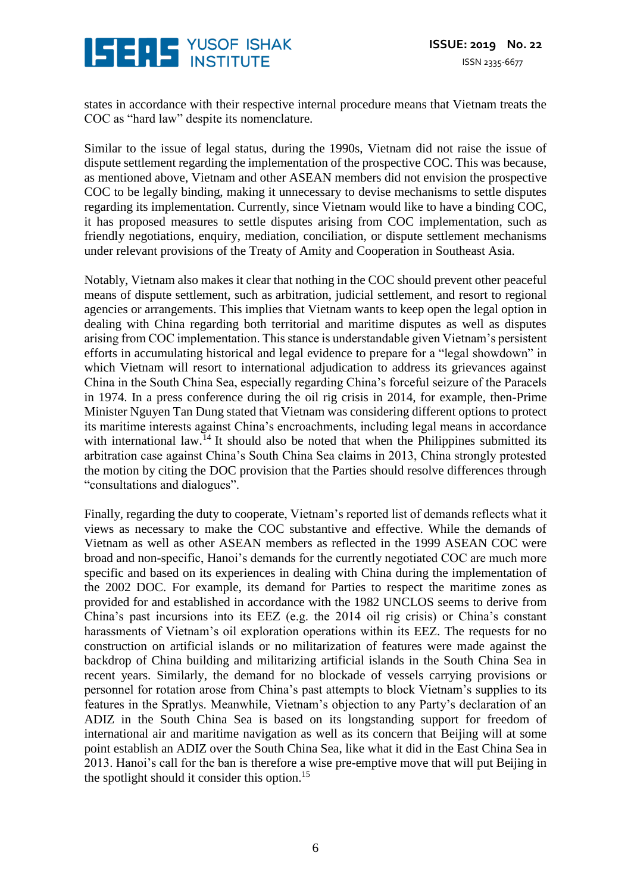

states in accordance with their respective internal procedure means that Vietnam treats the COC as "hard law" despite its nomenclature.

Similar to the issue of legal status, during the 1990s, Vietnam did not raise the issue of dispute settlement regarding the implementation of the prospective COC. This was because, as mentioned above, Vietnam and other ASEAN members did not envision the prospective COC to be legally binding, making it unnecessary to devise mechanisms to settle disputes regarding its implementation. Currently, since Vietnam would like to have a binding COC, it has proposed measures to settle disputes arising from COC implementation, such as friendly negotiations, enquiry, mediation, conciliation, or dispute settlement mechanisms under relevant provisions of the Treaty of Amity and Cooperation in Southeast Asia.

Notably, Vietnam also makes it clear that nothing in the COC should prevent other peaceful means of dispute settlement, such as arbitration, judicial settlement, and resort to regional agencies or arrangements. This implies that Vietnam wants to keep open the legal option in dealing with China regarding both territorial and maritime disputes as well as disputes arising from COC implementation. This stance is understandable given Vietnam's persistent efforts in accumulating historical and legal evidence to prepare for a "legal showdown" in which Vietnam will resort to international adjudication to address its grievances against China in the South China Sea, especially regarding China's forceful seizure of the Paracels in 1974. In a press conference during the oil rig crisis in 2014, for example, then-Prime Minister Nguyen Tan Dung stated that Vietnam was considering different options to protect its maritime interests against China's encroachments, including legal means in accordance with international law.<sup>14</sup> It should also be noted that when the Philippines submitted its arbitration case against China's South China Sea claims in 2013, China strongly protested the motion by citing the DOC provision that the Parties should resolve differences through "consultations and dialogues".

Finally, regarding the duty to cooperate, Vietnam's reported list of demands reflects what it views as necessary to make the COC substantive and effective. While the demands of Vietnam as well as other ASEAN members as reflected in the 1999 ASEAN COC were broad and non-specific, Hanoi's demands for the currently negotiated COC are much more specific and based on its experiences in dealing with China during the implementation of the 2002 DOC. For example, its demand for Parties to respect the maritime zones as provided for and established in accordance with the 1982 UNCLOS seems to derive from China's past incursions into its EEZ (e.g. the 2014 oil rig crisis) or China's constant harassments of Vietnam's oil exploration operations within its EEZ. The requests for no construction on artificial islands or no militarization of features were made against the backdrop of China building and militarizing artificial islands in the South China Sea in recent years. Similarly, the demand for no blockade of vessels carrying provisions or personnel for rotation arose from China's past attempts to block Vietnam's supplies to its features in the Spratlys. Meanwhile, Vietnam's objection to any Party's declaration of an ADIZ in the South China Sea is based on its longstanding support for freedom of international air and maritime navigation as well as its concern that Beijing will at some point establish an ADIZ over the South China Sea, like what it did in the East China Sea in 2013. Hanoi's call for the ban is therefore a wise pre-emptive move that will put Beijing in the spotlight should it consider this option.<sup>15</sup>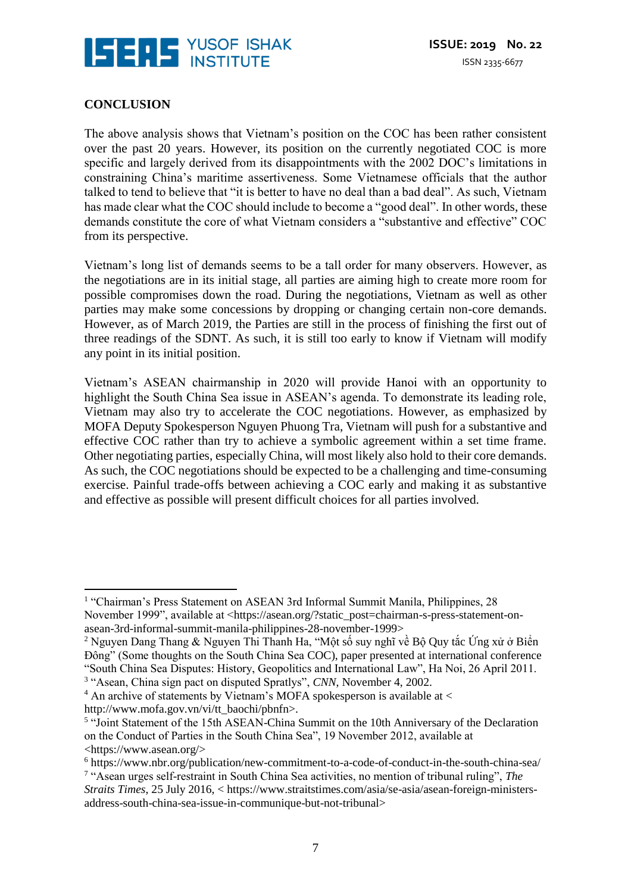

## **CONCLUSION**

 $\overline{a}$ 

The above analysis shows that Vietnam's position on the COC has been rather consistent over the past 20 years. However, its position on the currently negotiated COC is more specific and largely derived from its disappointments with the 2002 DOC's limitations in constraining China's maritime assertiveness. Some Vietnamese officials that the author talked to tend to believe that "it is better to have no deal than a bad deal". As such, Vietnam has made clear what the COC should include to become a "good deal". In other words, these demands constitute the core of what Vietnam considers a "substantive and effective" COC from its perspective.

Vietnam's long list of demands seems to be a tall order for many observers. However, as the negotiations are in its initial stage, all parties are aiming high to create more room for possible compromises down the road. During the negotiations, Vietnam as well as other parties may make some concessions by dropping or changing certain non-core demands. However, as of March 2019, the Parties are still in the process of finishing the first out of three readings of the SDNT. As such, it is still too early to know if Vietnam will modify any point in its initial position.

Vietnam's ASEAN chairmanship in 2020 will provide Hanoi with an opportunity to highlight the South China Sea issue in ASEAN's agenda. To demonstrate its leading role, Vietnam may also try to accelerate the COC negotiations. However, as emphasized by MOFA Deputy Spokesperson Nguyen Phuong Tra, Vietnam will push for a substantive and effective COC rather than try to achieve a symbolic agreement within a set time frame. Other negotiating parties, especially China, will most likely also hold to their core demands. As such, the COC negotiations should be expected to be a challenging and time-consuming exercise. Painful trade-offs between achieving a COC early and making it as substantive and effective as possible will present difficult choices for all parties involved.

<sup>&</sup>lt;sup>1</sup> "Chairman's Press Statement on ASEAN 3rd Informal Summit Manila, Philippines, 28 November 1999", available at <https://asean.org/?static\_post=chairman-s-press-statement-onasean-3rd-informal-summit-manila-philippines-28-november-1999>

<sup>2</sup> Nguyen Dang Thang & Nguyen Thi Thanh Ha, "Một số suy nghĩ về Bộ Quy tắc Ứng xử ở Biển Đông" (Some thoughts on the South China Sea COC), paper presented at international conference "South China Sea Disputes: History, Geopolitics and International Law", Ha Noi, 26 April 2011.

<sup>&</sup>lt;sup>3</sup> "Asean, China sign pact on disputed Spratlys", *CNN*, November 4, 2002.

 $4$  An archive of statements by Vietnam's MOFA spokesperson is available at  $\lt$ http://www.mofa.gov.vn/vi/tt\_baochi/pbnfn>.

<sup>&</sup>lt;sup>5</sup> "Joint Statement of the 15th ASEAN-China Summit on the 10th Anniversary of the Declaration on the Conduct of Parties in the South China Sea", 19 November 2012, available at <https://www.asean.org/>

<sup>6</sup> https://www.nbr.org/publication/new-commitment-to-a-code-of-conduct-in-the-south-china-sea/

<sup>7</sup> "Asean urges self-restraint in South China Sea activities, no mention of tribunal ruling", *The Straits Times*, 25 July 2016, < https://www.straitstimes.com/asia/se-asia/asean-foreign-ministersaddress-south-china-sea-issue-in-communique-but-not-tribunal>